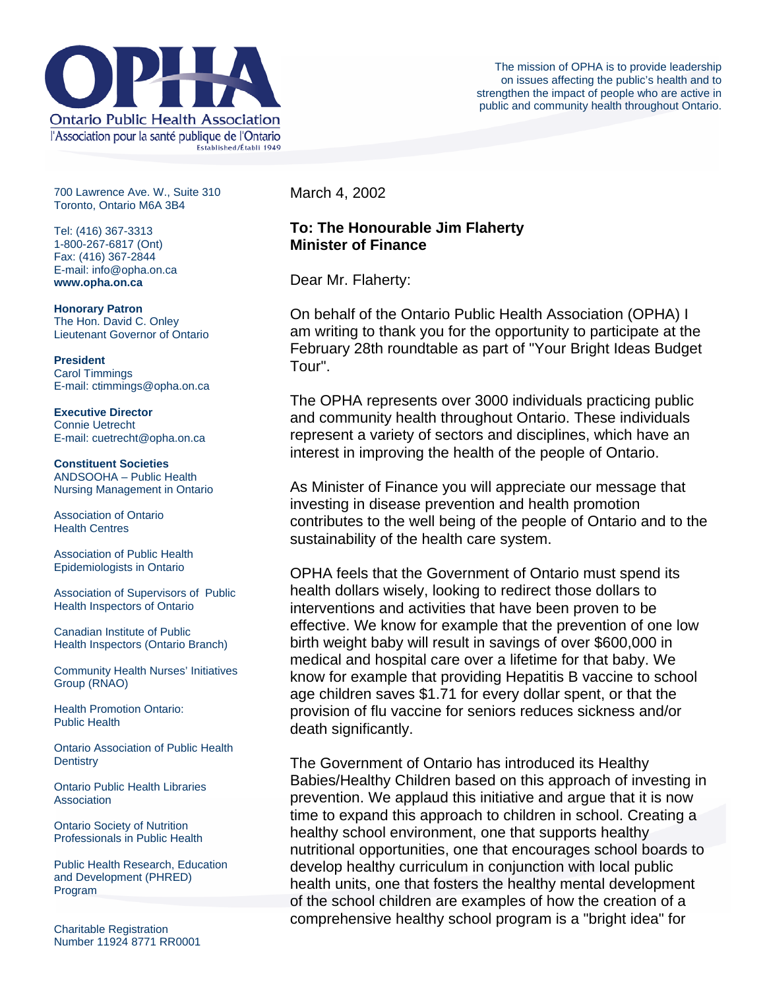

700 Lawrence Ave. W., Suite 310 Toronto, Ontario M6A 3B4

Tel: (416) 367-3313 1-800-267-6817 (Ont) Fax: (416) 367-2844 E-mail: info@opha.on.ca **www.opha.on.ca** 

**Honorary Patron**  The Hon. David C. Onley Lieutenant Governor of Ontario

**President**  Carol Timmings E-mail: ctimmings@opha.on.ca

**Executive Director**  Connie Uetrecht E-mail: cuetrecht@opha.on.ca

**Constituent Societies**  ANDSOOHA – Public Health Nursing Management in Ontario

Association of Ontario Health Centres

Association of Public Health Epidemiologists in Ontario

Association of Supervisors of Public Health Inspectors of Ontario

Canadian Institute of Public Health Inspectors (Ontario Branch)

Community Health Nurses' Initiatives Group (RNAO)

Health Promotion Ontario: Public Health

Ontario Association of Public Health **Dentistry** 

Ontario Public Health Libraries **Association** 

Ontario Society of Nutrition Professionals in Public Health

Public Health Research, Education and Development (PHRED) Program

Charitable Registration Number 11924 8771 RR0001 March 4, 2002

## **To: The Honourable Jim Flaherty Minister of Finance**

Dear Mr. Flaherty:

On behalf of the Ontario Public Health Association (OPHA) I am writing to thank you for the opportunity to participate at the February 28th roundtable as part of "Your Bright Ideas Budget Tour".

The OPHA represents over 3000 individuals practicing public and community health throughout Ontario. These individuals represent a variety of sectors and disciplines, which have an interest in improving the health of the people of Ontario.

As Minister of Finance you will appreciate our message that investing in disease prevention and health promotion contributes to the well being of the people of Ontario and to the sustainability of the health care system.

OPHA feels that the Government of Ontario must spend its health dollars wisely, looking to redirect those dollars to interventions and activities that have been proven to be effective. We know for example that the prevention of one low birth weight baby will result in savings of over \$600,000 in medical and hospital care over a lifetime for that baby. We know for example that providing Hepatitis B vaccine to school age children saves \$1.71 for every dollar spent, or that the provision of flu vaccine for seniors reduces sickness and/or death significantly.

The Government of Ontario has introduced its Healthy Babies/Healthy Children based on this approach of investing in prevention. We applaud this initiative and argue that it is now time to expand this approach to children in school. Creating a healthy school environment, one that supports healthy nutritional opportunities, one that encourages school boards to develop healthy curriculum in conjunction with local public health units, one that fosters the healthy mental development of the school children are examples of how the creation of a comprehensive healthy school program is a "bright idea" for